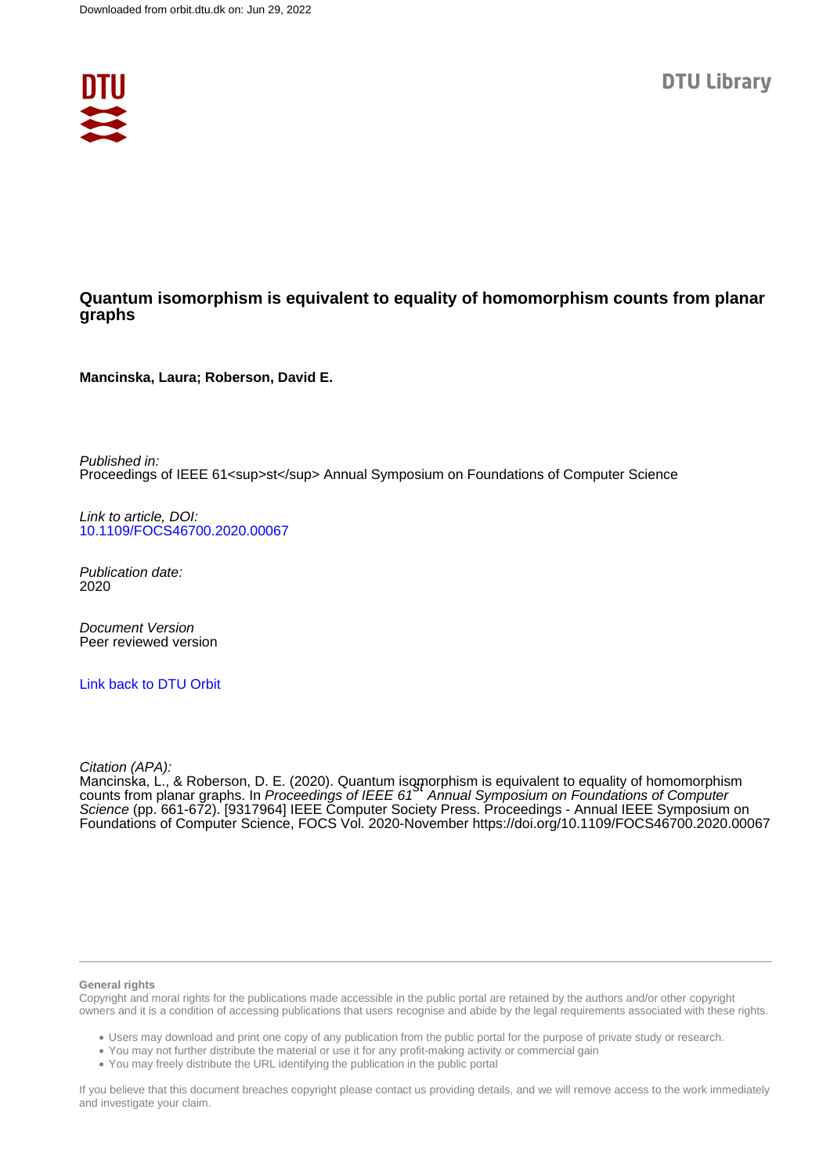

## **Quantum isomorphism is equivalent to equality of homomorphism counts from planar graphs**

**Mancinska, Laura; Roberson, David E.**

Published in: Proceedings of IEEE 61<sup>st</sup> Annual Symposium on Foundations of Computer Science

Link to article, DOI: [10.1109/FOCS46700.2020.00067](https://doi.org/10.1109/FOCS46700.2020.00067)

Publication date: 2020

Document Version Peer reviewed version

[Link back to DTU Orbit](https://orbit.dtu.dk/en/publications/6e481f09-961c-49aa-af69-3c2fe1a37b67)

Citation (APA):

Mancinska, L., & Roberson, D. E. (2020). Quantum isomorphism is equivalent to equality of homomorphism<br>counts from planar graphs. In *Proceedings of IEEE 61<sup>St</sup> Annual Symposium on Foundations of Computer* Science (pp. 661-672). [9317964] IEEE Computer Society Press. Proceedings - Annual IEEE Symposium on Foundations of Computer Science, FOCS Vol. 2020-November <https://doi.org/10.1109/FOCS46700.2020.00067>

#### **General rights**

Copyright and moral rights for the publications made accessible in the public portal are retained by the authors and/or other copyright owners and it is a condition of accessing publications that users recognise and abide by the legal requirements associated with these rights.

Users may download and print one copy of any publication from the public portal for the purpose of private study or research.

- You may not further distribute the material or use it for any profit-making activity or commercial gain
- You may freely distribute the URL identifying the publication in the public portal

If you believe that this document breaches copyright please contact us providing details, and we will remove access to the work immediately and investigate your claim.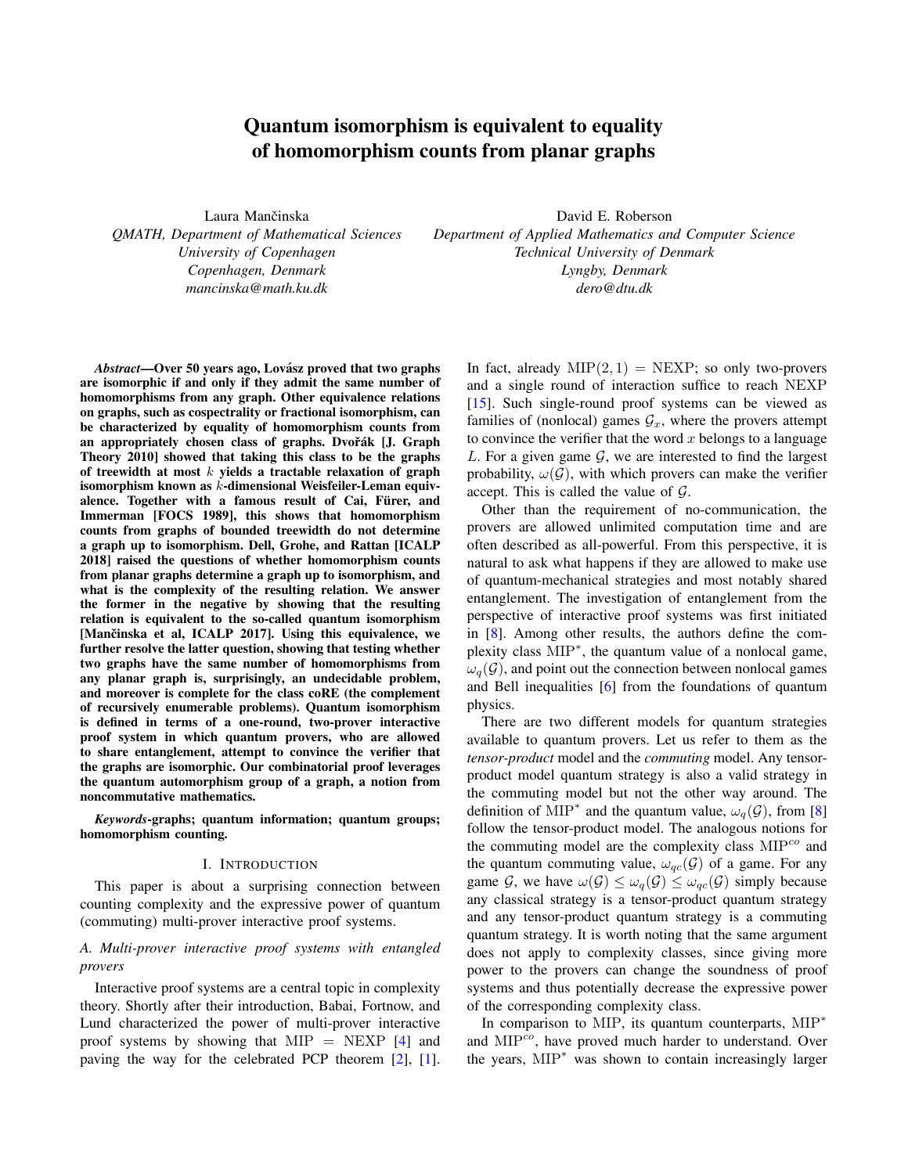# Quantum isomorphism is equivalent to equality of homomorphism counts from planar graphs

Laura Mančinska *QMATH, Department of Mathematical Sciences University of Copenhagen Copenhagen, Denmark mancinska@math.ku.dk*

*Abstract*—Over 50 years ago, Lovász proved that two graphs are isomorphic if and only if they admit the same number of homomorphisms from any graph. Other equivalence relations on graphs, such as cospectrality or fractional isomorphism, can be characterized by equality of homomorphism counts from an appropriately chosen class of graphs. Dvořák [J. Graph Theory 2010] showed that taking this class to be the graphs of treewidth at most  $k$  yields a tractable relaxation of graph isomorphism known as k-dimensional Weisfeiler-Leman equivalence. Together with a famous result of Cai, Fürer, and Immerman [FOCS 1989], this shows that homomorphism counts from graphs of bounded treewidth do not determine a graph up to isomorphism. Dell, Grohe, and Rattan [ICALP 2018] raised the questions of whether homomorphism counts from planar graphs determine a graph up to isomorphism, and what is the complexity of the resulting relation. We answer the former in the negative by showing that the resulting relation is equivalent to the so-called quantum isomorphism [Mančinska et al, ICALP 2017]. Using this equivalence, we further resolve the latter question, showing that testing whether two graphs have the same number of homomorphisms from any planar graph is, surprisingly, an undecidable problem, and moreover is complete for the class coRE (the complement of recursively enumerable problems). Quantum isomorphism is defined in terms of a one-round, two-prover interactive proof system in which quantum provers, who are allowed to share entanglement, attempt to convince the verifier that the graphs are isomorphic. Our combinatorial proof leverages the quantum automorphism group of a graph, a notion from noncommutative mathematics.

*Keywords*-graphs; quantum information; quantum groups; homomorphism counting.

#### I. INTRODUCTION

This paper is about a surprising connection between counting complexity and the expressive power of quantum (commuting) multi-prover interactive proof systems.

## *A. Multi-prover interactive proof systems with entangled provers*

Interactive proof systems are a central topic in complexity theory. Shortly after their introduction, Babai, Fortnow, and Lund characterized the power of multi-prover interactive proof systems by showing that  $MIP = NEXP$  [\[4\]](#page-11-0) and paving the way for the celebrated PCP theorem [\[2\]](#page-11-1), [\[1\]](#page-11-2).

David E. Roberson *Department of Applied Mathematics and Computer Science Technical University of Denmark Lyngby, Denmark dero@dtu.dk*

> In fact, already  $MIP(2, 1) = NEXP$ ; so only two-provers and a single round of interaction suffice to reach NEXP [\[15\]](#page-11-3). Such single-round proof systems can be viewed as families of (nonlocal) games  $\mathcal{G}_x$ , where the provers attempt to convince the verifier that the word  $x$  belongs to a language L. For a given game  $G$ , we are interested to find the largest probability,  $\omega(\mathcal{G})$ , with which provers can make the verifier accept. This is called the value of  $G$ .

> Other than the requirement of no-communication, the provers are allowed unlimited computation time and are often described as all-powerful. From this perspective, it is natural to ask what happens if they are allowed to make use of quantum-mechanical strategies and most notably shared entanglement. The investigation of entanglement from the perspective of interactive proof systems was first initiated in [\[8\]](#page-11-4). Among other results, the authors define the complexity class MIP<sup>∗</sup> , the quantum value of a nonlocal game,  $\omega_q(\mathcal{G})$ , and point out the connection between nonlocal games and Bell inequalities [\[6\]](#page-11-5) from the foundations of quantum physics.

> There are two different models for quantum strategies available to quantum provers. Let us refer to them as the *tensor-product* model and the *commuting* model. Any tensorproduct model quantum strategy is also a valid strategy in the commuting model but not the other way around. The definition of MIP<sup>\*</sup> and the quantum value,  $\omega_q(\mathcal{G})$ , from [\[8\]](#page-11-4) follow the tensor-product model. The analogous notions for the commuting model are the complexity class  $\text{MIP}^{co}$  and the quantum commuting value,  $\omega_{qc}(\mathcal{G})$  of a game. For any game G, we have  $\omega(\mathcal{G}) \leq \omega_q(\mathcal{G}) \leq \omega_{qc}(\mathcal{G})$  simply because any classical strategy is a tensor-product quantum strategy and any tensor-product quantum strategy is a commuting quantum strategy. It is worth noting that the same argument does not apply to complexity classes, since giving more power to the provers can change the soundness of proof systems and thus potentially decrease the expressive power of the corresponding complexity class.

> In comparison to MIP, its quantum counterparts, MIP<sup>∗</sup> and MIP<sup>co</sup>, have proved much harder to understand. Over the years, MIP<sup>∗</sup> was shown to contain increasingly larger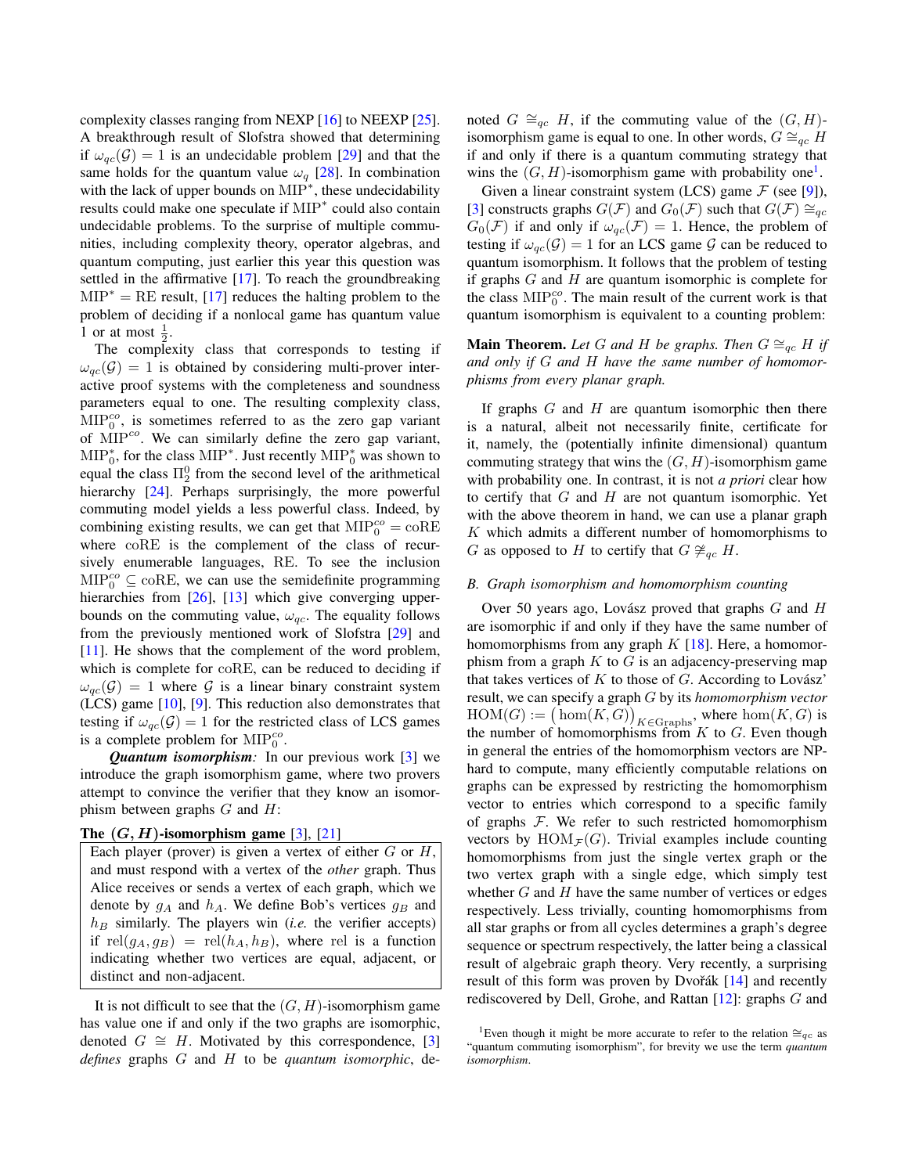complexity classes ranging from NEXP [\[16\]](#page-11-6) to NEEXP [\[25\]](#page-12-0). A breakthrough result of Slofstra showed that determining if  $\omega_{ac}(\mathcal{G}) = 1$  is an undecidable problem [\[29\]](#page-12-1) and that the same holds for the quantum value  $\omega_q$  [\[28\]](#page-12-2). In combination with the lack of upper bounds on MIP<sup>\*</sup>, these undecidability results could make one speculate if MIP<sup>∗</sup> could also contain undecidable problems. To the surprise of multiple communities, including complexity theory, operator algebras, and quantum computing, just earlier this year this question was settled in the affirmative [\[17\]](#page-11-7). To reach the groundbreaking  $MIP^* = RE$  result, [\[17\]](#page-11-7) reduces the halting problem to the problem of deciding if a nonlocal game has quantum value 1 or at most  $\frac{1}{2}$ .

The complexity class that corresponds to testing if  $\omega_{ac}(\mathcal{G}) = 1$  is obtained by considering multi-prover interactive proof systems with the completeness and soundness parameters equal to one. The resulting complexity class,  $\text{MIP}_0^{co}$ , is sometimes referred to as the zero gap variant of MIP<sup>co</sup>. We can similarly define the zero gap variant,  $\text{MIP}_0^*$ , for the class  $\text{MIP}^*$ . Just recently  $\text{MIP}_0^*$  was shown to equal the class  $\Pi_2^0$  from the second level of the arithmetical hierarchy [\[24\]](#page-12-3). Perhaps surprisingly, the more powerful commuting model yields a less powerful class. Indeed, by combining existing results, we can get that  $\text{MIP}_0^{co} = \text{coRE}$ where coRE is the complement of the class of recursively enumerable languages, RE. To see the inclusion  $\text{MIP}_0^{co} \subseteq \text{coRE}$ , we can use the semidefinite programming hierarchies from [\[26\]](#page-12-4), [\[13\]](#page-11-8) which give converging upperbounds on the commuting value,  $\omega_{qc}$ . The equality follows from the previously mentioned work of Slofstra [\[29\]](#page-12-1) and [\[11\]](#page-11-9). He shows that the complement of the word problem, which is complete for coRE, can be reduced to deciding if  $\omega_{ac}(\mathcal{G}) = 1$  where  $\mathcal G$  is a linear binary constraint system (LCS) game [\[10\]](#page-11-10), [\[9\]](#page-11-11). This reduction also demonstrates that testing if  $\omega_{qc}(\mathcal{G}) = 1$  for the restricted class of LCS games is a complete problem for  $\text{MIP}_0^{co}$ .

*Quantum isomorphism:* In our previous work [\[3\]](#page-11-12) we introduce the graph isomorphism game, where two provers attempt to convince the verifier that they know an isomorphism between graphs  $G$  and  $H$ :

## The  $(G, H)$ -isomorphism game [\[3\]](#page-11-12), [\[21\]](#page-12-5)

Each player (prover) is given a vertex of either  $G$  or  $H$ , and must respond with a vertex of the *other* graph. Thus Alice receives or sends a vertex of each graph, which we denote by  $g_A$  and  $h_A$ . We define Bob's vertices  $g_B$  and  $h_B$  similarly. The players win (*i.e.* the verifier accepts) if rel $(g_A, g_B)$  = rel $(h_A, h_B)$ , where rel is a function indicating whether two vertices are equal, adjacent, or distinct and non-adjacent.

It is not difficult to see that the  $(G, H)$ -isomorphism game has value one if and only if the two graphs are isomorphic, denoted  $G \cong H$ . Motivated by this correspondence, [\[3\]](#page-11-12) *defines* graphs G and H to be *quantum isomorphic*, denoted  $G \cong_{qc} H$ , if the commuting value of the  $(G, H)$ isomorphism game is equal to one. In other words,  $G \cong_{qc} H$ if and only if there is a quantum commuting strategy that wins the  $(G, H)$ -isomorphism game with probability one<sup>[1](#page-2-0)</sup>.

Given a linear constraint system (LCS) game  $\mathcal F$  (see [\[9\]](#page-11-11)), [\[3\]](#page-11-12) constructs graphs  $G(\mathcal{F})$  and  $G_0(\mathcal{F})$  such that  $G(\mathcal{F}) \cong_{ac}$  $G_0(\mathcal{F})$  if and only if  $\omega_{qc}(\mathcal{F}) = 1$ . Hence, the problem of testing if  $\omega_{qc}(\mathcal{G}) = 1$  for an LCS game  $\mathcal G$  can be reduced to quantum isomorphism. It follows that the problem of testing if graphs  $G$  and  $H$  are quantum isomorphic is complete for the class  $\text{MIP}_0^{co}$ . The main result of the current work is that quantum isomorphism is equivalent to a counting problem:

**Main Theorem.** Let G and H be graphs. Then  $G \cong_{ac} H$  if *and only if* G *and* H *have the same number of homomorphisms from every planar graph.*

If graphs  $G$  and  $H$  are quantum isomorphic then there is a natural, albeit not necessarily finite, certificate for it, namely, the (potentially infinite dimensional) quantum commuting strategy that wins the  $(G, H)$ -isomorphism game with probability one. In contrast, it is not *a priori* clear how to certify that  $G$  and  $H$  are not quantum isomorphic. Yet with the above theorem in hand, we can use a planar graph  $K$  which admits a different number of homomorphisms to G as opposed to H to certify that  $G \not\cong_{qc} H$ .

#### *B. Graph isomorphism and homomorphism counting*

Over 50 years ago, Lovász proved that graphs  $G$  and  $H$ are isomorphic if and only if they have the same number of homomorphisms from any graph  $K$  [\[18\]](#page-12-6). Here, a homomorphism from a graph  $K$  to  $G$  is an adjacency-preserving map that takes vertices of  $K$  to those of  $G$ . According to Lovász' result, we can specify a graph G by its *homomorphism vector*  $HOM(G) := (\text{hom}(K, G))_{K \in \text{Graphs}}, \text{ where } \text{hom}(K, G) \text{ is}$ the number of homomorphisms from  $K$  to  $G$ . Even though in general the entries of the homomorphism vectors are NPhard to compute, many efficiently computable relations on graphs can be expressed by restricting the homomorphism vector to entries which correspond to a specific family of graphs  $F$ . We refer to such restricted homomorphism vectors by  $HOM_{\mathcal{F}}(G)$ . Trivial examples include counting homomorphisms from just the single vertex graph or the two vertex graph with a single edge, which simply test whether  $G$  and  $H$  have the same number of vertices or edges respectively. Less trivially, counting homomorphisms from all star graphs or from all cycles determines a graph's degree sequence or spectrum respectively, the latter being a classical result of algebraic graph theory. Very recently, a surprising result of this form was proven by Dvořák [[14\]](#page-11-13) and recently rediscovered by Dell, Grohe, and Rattan [\[12\]](#page-11-14): graphs G and

<span id="page-2-0"></span><sup>&</sup>lt;sup>1</sup>Even though it might be more accurate to refer to the relation  $\cong_{ac}$  as "quantum commuting isomorphism", for brevity we use the term *quantum isomorphism*.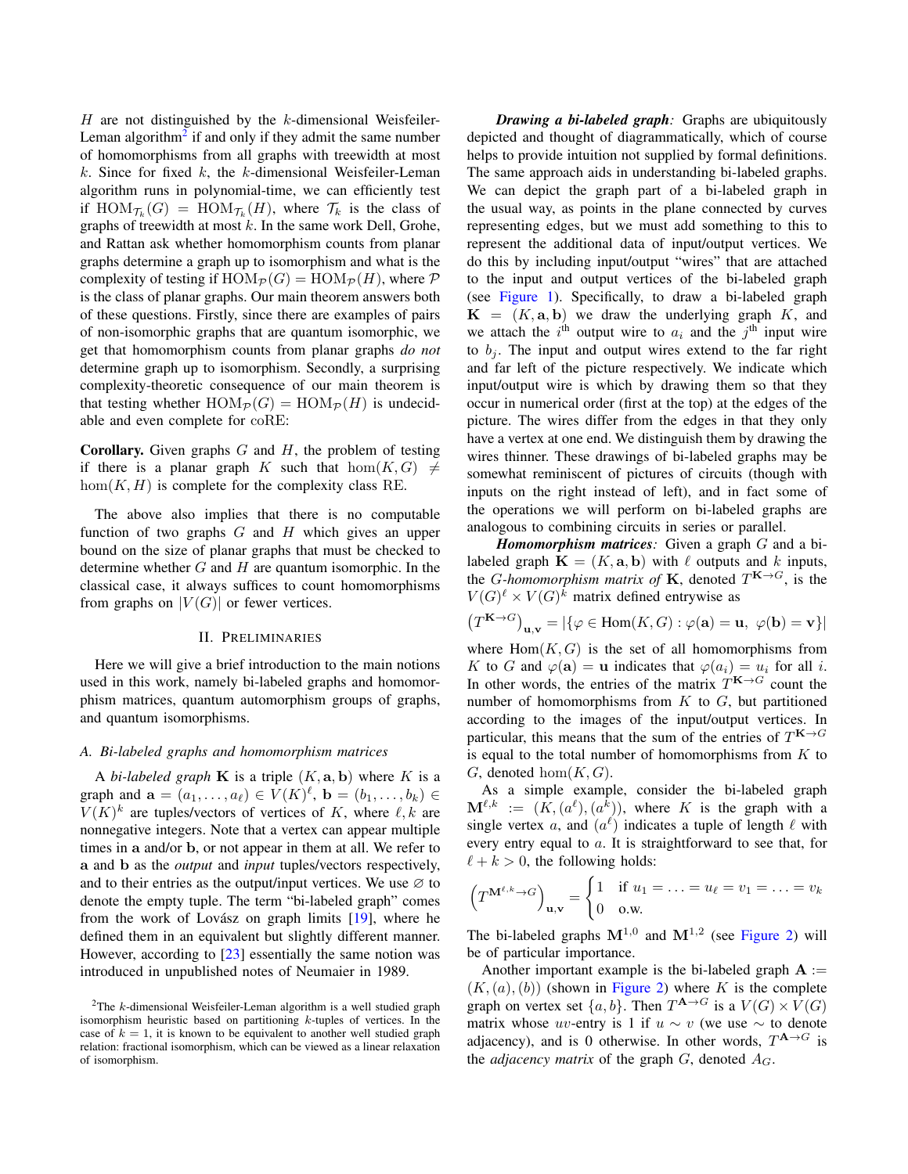$H$  are not distinguished by the  $k$ -dimensional Weisfeiler-Leman algorithm<sup>[2](#page-3-0)</sup> if and only if they admit the same number of homomorphisms from all graphs with treewidth at most  $k$ . Since for fixed  $k$ , the  $k$ -dimensional Weisfeiler-Leman algorithm runs in polynomial-time, we can efficiently test if  $\text{HOM}_{\mathcal{T}_k}(G) = \text{HOM}_{\mathcal{T}_k}(H)$ , where  $\mathcal{T}_k$  is the class of graphs of treewidth at most  $k$ . In the same work Dell, Grohe, and Rattan ask whether homomorphism counts from planar graphs determine a graph up to isomorphism and what is the complexity of testing if  $HOM_{\mathcal{P}}(G) = HOM_{\mathcal{P}}(H)$ , where  $\mathcal P$ is the class of planar graphs. Our main theorem answers both of these questions. Firstly, since there are examples of pairs of non-isomorphic graphs that are quantum isomorphic, we get that homomorphism counts from planar graphs *do not* determine graph up to isomorphism. Secondly, a surprising complexity-theoretic consequence of our main theorem is that testing whether  $HOM_{\mathcal{P}}(G) = HOM_{\mathcal{P}}(H)$  is undecidable and even complete for coRE:

**Corollary.** Given graphs  $G$  and  $H$ , the problem of testing if there is a planar graph K such that  $hom(K, G) \neq$  $hom(K, H)$  is complete for the complexity class RE.

The above also implies that there is no computable function of two graphs  $G$  and  $H$  which gives an upper bound on the size of planar graphs that must be checked to determine whether  $G$  and  $H$  are quantum isomorphic. In the classical case, it always suffices to count homomorphisms from graphs on  $|V(G)|$  or fewer vertices.

### II. PRELIMINARIES

Here we will give a brief introduction to the main notions used in this work, namely bi-labeled graphs and homomorphism matrices, quantum automorphism groups of graphs, and quantum isomorphisms.

#### <span id="page-3-1"></span>*A. Bi-labeled graphs and homomorphism matrices*

A *bi-labeled graph* **K** is a triple  $(K, \mathbf{a}, \mathbf{b})$  where K is a graph and  $\mathbf{a} = (a_1, \dots, a_\ell) \in V(K)^\ell$ ,  $\mathbf{b} = (b_1, \dots, b_k) \in$  $V(K)^k$  are tuples/vectors of vertices of K, where  $\ell, k$  are nonnegative integers. Note that a vertex can appear multiple times in a and/or b, or not appear in them at all. We refer to a and b as the *output* and *input* tuples/vectors respectively, and to their entries as the output/input vertices. We use  $\varnothing$  to denote the empty tuple. The term "bi-labeled graph" comes from the work of Lovász on graph limits  $[19]$  $[19]$ , where he defined them in an equivalent but slightly different manner. However, according to [\[23\]](#page-12-8) essentially the same notion was introduced in unpublished notes of Neumaier in 1989.

*Drawing a bi-labeled graph:* Graphs are ubiquitously depicted and thought of diagrammatically, which of course helps to provide intuition not supplied by formal definitions. The same approach aids in understanding bi-labeled graphs. We can depict the graph part of a bi-labeled graph in the usual way, as points in the plane connected by curves representing edges, but we must add something to this to represent the additional data of input/output vertices. We do this by including input/output "wires" that are attached to the input and output vertices of the bi-labeled graph (see [Figure 1\)](#page-4-0). Specifically, to draw a bi-labeled graph  $K = (K, a, b)$  we draw the underlying graph K, and we attach the  $i^{\text{th}}$  output wire to  $a_i$  and the  $j^{\text{th}}$  input wire to  $b_i$ . The input and output wires extend to the far right and far left of the picture respectively. We indicate which input/output wire is which by drawing them so that they occur in numerical order (first at the top) at the edges of the picture. The wires differ from the edges in that they only have a vertex at one end. We distinguish them by drawing the wires thinner. These drawings of bi-labeled graphs may be somewhat reminiscent of pictures of circuits (though with inputs on the right instead of left), and in fact some of the operations we will perform on bi-labeled graphs are analogous to combining circuits in series or parallel.

*Homomorphism matrices:* Given a graph G and a bilabeled graph  $\mathbf{K} = (K, \mathbf{a}, \mathbf{b})$  with  $\ell$  outputs and k inputs, the *G*-homomorphism matrix of **K**, denoted  $T^{K \to G}$ , is the  $V(G)^{\ell} \times V(G)^{k}$  matrix defined entrywise as

$$
(T^{\mathbf{K}\to G})_{\mathbf{u},\mathbf{v}} = |\{\varphi \in \text{Hom}(K,G) : \varphi(\mathbf{a}) = \mathbf{u}, \ \varphi(\mathbf{b}) = \mathbf{v}\}|
$$

where  $Hom(K, G)$  is the set of all homomorphisms from K to G and  $\varphi(\mathbf{a}) = \mathbf{u}$  indicates that  $\varphi(a_i) = u_i$  for all i. In other words, the entries of the matrix  $T^{**K** \to G}$  count the number of homomorphisms from  $K$  to  $G$ , but partitioned according to the images of the input/output vertices. In particular, this means that the sum of the entries of  $T^{K\to G}$ is equal to the total number of homomorphisms from  $K$  to  $G$ , denoted hom $(K, G)$ .

As a simple example, consider the bi-labeled graph  $\mathbf{M}^{\ell,k} := (K, (a^{\ell}), (a^k)),$  where K is the graph with a single vertex a, and  $(a^{\ell})$  indicates a tuple of length  $\ell$  with every entry equal to a. It is straightforward to see that, for  $\ell + k > 0$ , the following holds:

$$
\left(T^{\mathbf{M}^{\ell,k}\to G}\right)_{\mathbf{u},\mathbf{v}} = \begin{cases} 1 & \text{if } u_1 = \ldots = u_\ell = v_1 = \ldots = v_k \\ 0 & \text{o.w.} \end{cases}
$$

The bi-labeled graphs  $M^{1,0}$  and  $M^{1,2}$  (see [Figure 2\)](#page-4-1) will be of particular importance.

Another important example is the bi-labeled graph  $A :=$  $(K,(a),(b))$  (shown in [Figure 2\)](#page-4-1) where K is the complete graph on vertex set  $\{a, b\}$ . Then  $T^{A \to G}$  is a  $V(G) \times V(G)$ matrix whose uv-entry is 1 if  $u \sim v$  (we use  $\sim$  to denote adjacency), and is 0 otherwise. In other words,  $T^{A \rightarrow G}$  is the *adjacency matrix* of the graph  $G$ , denoted  $A_G$ .

<span id="page-3-0"></span><sup>&</sup>lt;sup>2</sup>The k-dimensional Weisfeiler-Leman algorithm is a well studied graph isomorphism heuristic based on partitioning k-tuples of vertices. In the case of  $k = 1$ , it is known to be equivalent to another well studied graph relation: fractional isomorphism, which can be viewed as a linear relaxation of isomorphism.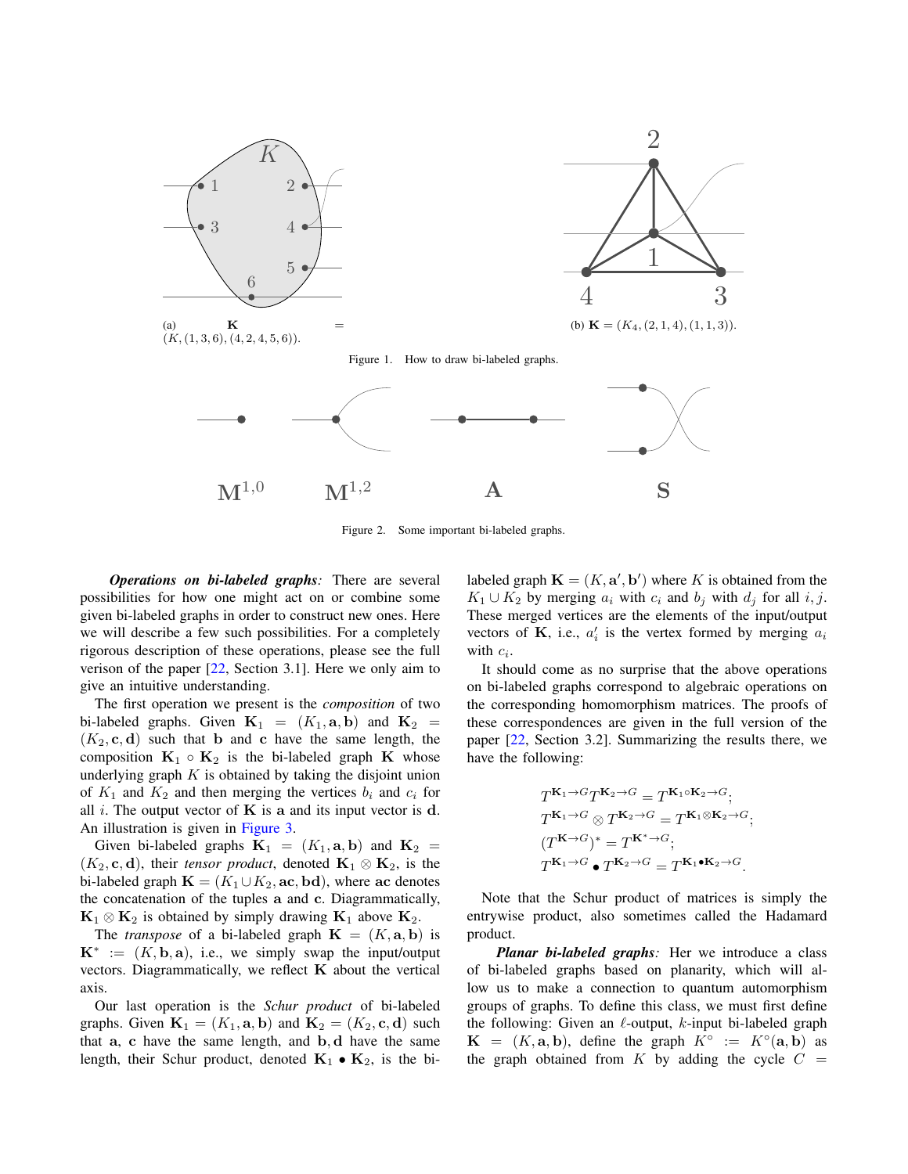

<span id="page-4-1"></span><span id="page-4-0"></span>Figure 2. Some important bi-labeled graphs.

*Operations on bi-labeled graphs:* There are several possibilities for how one might act on or combine some given bi-labeled graphs in order to construct new ones. Here we will describe a few such possibilities. For a completely rigorous description of these operations, please see the full verison of the paper [\[22,](#page-12-9) Section 3.1]. Here we only aim to give an intuitive understanding.

The first operation we present is the *composition* of two bi-labeled graphs. Given  $\mathbf{K}_1 = (K_1, \mathbf{a}, \mathbf{b})$  and  $\mathbf{K}_2 =$  $(K_2, c, d)$  such that b and c have the same length, the composition  $K_1 \circ K_2$  is the bi-labeled graph K whose underlying graph  $K$  is obtained by taking the disjoint union of  $K_1$  and  $K_2$  and then merging the vertices  $b_i$  and  $c_i$  for all i. The output vector of  $\bf{K}$  is a and its input vector is d. An illustration is given in [Figure 3.](#page-5-0)

Given bi-labeled graphs  $\mathbf{K}_1 = (K_1, \mathbf{a}, \mathbf{b})$  and  $\mathbf{K}_2 =$  $(K_2, \mathbf{c}, \mathbf{d})$ , their *tensor product*, denoted  $\mathbf{K}_1 \otimes \mathbf{K}_2$ , is the bi-labeled graph  $\mathbf{K} = (K_1 \cup K_2, \text{ac}, \text{bd})$ , where ac denotes the concatenation of the tuples a and c. Diagrammatically,  $K_1 \otimes K_2$  is obtained by simply drawing  $K_1$  above  $K_2$ .

The *transpose* of a bi-labeled graph  $\mathbf{K} = (K, \mathbf{a}, \mathbf{b})$  is  $\mathbf{K}^* := (K, \mathbf{b}, \mathbf{a})$ , i.e., we simply swap the input/output vectors. Diagrammatically, we reflect  $K$  about the vertical axis.

Our last operation is the *Schur product* of bi-labeled graphs. Given  $\mathbf{K}_1 = (K_1, \mathbf{a}, \mathbf{b})$  and  $\mathbf{K}_2 = (K_2, \mathbf{c}, \mathbf{d})$  such that  $a$ ,  $c$  have the same length, and  $b$ ,  $d$  have the same length, their Schur product, denoted  $K_1 \bullet K_2$ , is the bi-

labeled graph  $\mathbf{K} = (K, \mathbf{a}', \mathbf{b}')$  where K is obtained from the  $K_1 \cup K_2$  by merging  $a_i$  with  $c_i$  and  $b_j$  with  $d_j$  for all i, j. These merged vertices are the elements of the input/output vectors of **K**, i.e.,  $a'_i$  is the vertex formed by merging  $a_i$ with  $c_i$ .

It should come as no surprise that the above operations on bi-labeled graphs correspond to algebraic operations on the corresponding homomorphism matrices. The proofs of these correspondences are given in the full version of the paper [\[22,](#page-12-9) Section 3.2]. Summarizing the results there, we have the following:

$$
T^{K_1 \to G} T^{K_2 \to G} = T^{K_1 \circ K_2 \to G};
$$
  
\n
$$
T^{K_1 \to G} \otimes T^{K_2 \to G} = T^{K_1 \otimes K_2 \to G};
$$
  
\n
$$
(T^{K \to G})^* = T^{K^* \to G};
$$
  
\n
$$
T^{K_1 \to G} \bullet T^{K_2 \to G} = T^{K_1 \bullet K_2 \to G}.
$$

Note that the Schur product of matrices is simply the entrywise product, also sometimes called the Hadamard product.

*Planar bi-labeled graphs:* Her we introduce a class of bi-labeled graphs based on planarity, which will allow us to make a connection to quantum automorphism groups of graphs. To define this class, we must first define the following: Given an  $\ell$ -output, k-input bi-labeled graph  $\mathbf{K} = (K, \mathbf{a}, \mathbf{b})$ , define the graph  $K^{\circ} := K^{\circ}(\mathbf{a}, \mathbf{b})$  as the graph obtained from K by adding the cycle  $C =$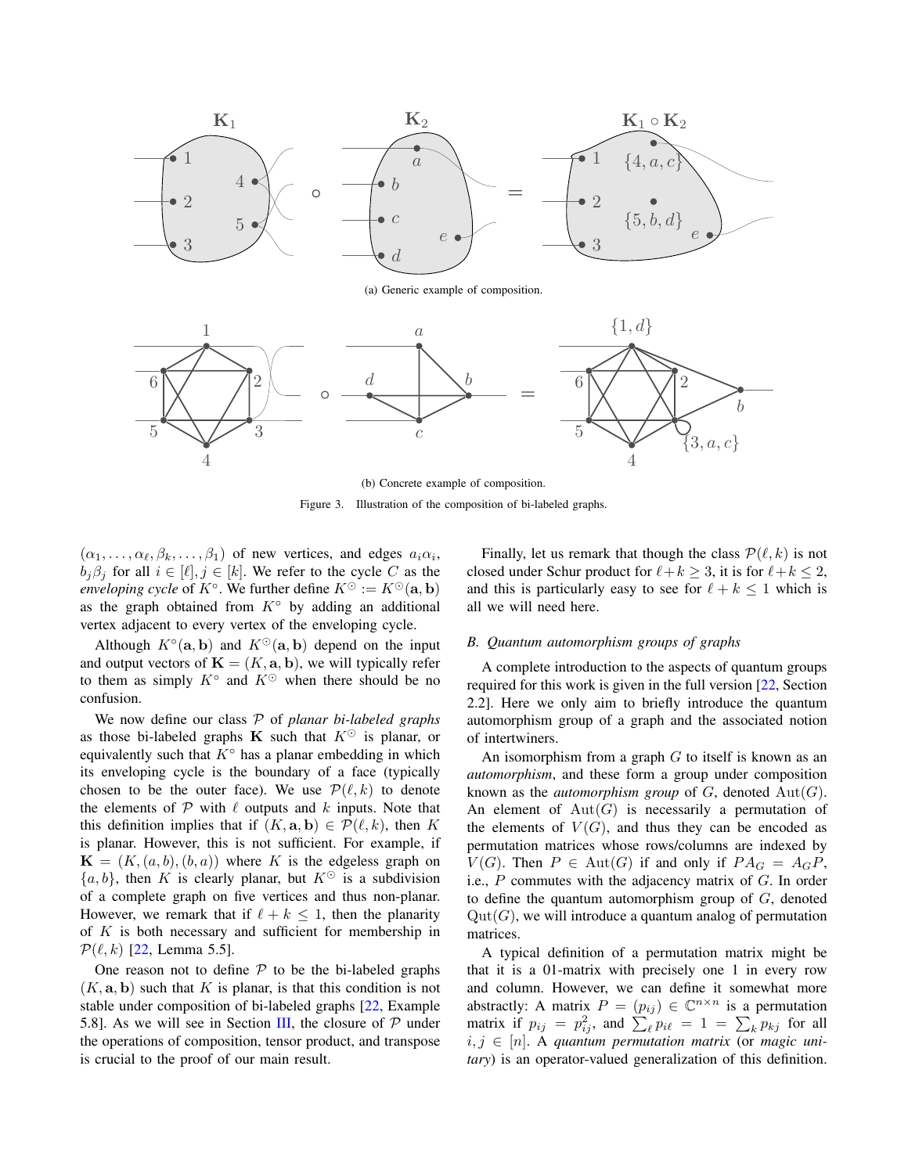

(a) Generic example of composition.



<span id="page-5-0"></span>(b) Concrete example of composition.

Figure 3. Illustration of the composition of bi-labeled graphs.

 $(\alpha_1, \ldots, \alpha_\ell, \beta_k, \ldots, \beta_1)$  of new vertices, and edges  $a_i \alpha_i$ ,  $b_j \beta_j$  for all  $i \in [\ell], j \in [k]$ . We refer to the cycle C as the *enveloping cycle* of  $K^{\circ}$ . We further define  $K^{\odot} := K^{\odot}(\mathbf{a}, \mathbf{b})$ as the graph obtained from  $K^{\circ}$  by adding an additional vertex adjacent to every vertex of the enveloping cycle.

Although  $K^{\circ}(\mathbf{a}, \mathbf{b})$  and  $K^{\circ}(\mathbf{a}, \mathbf{b})$  depend on the input and output vectors of  $\mathbf{K} = (K, \mathbf{a}, \mathbf{b})$ , we will typically refer to them as simply  $K^{\circ}$  and  $K^{\circ}$  when there should be no confusion.

We now define our class P of *planar bi-labeled graphs* as those bi-labeled graphs **K** such that  $K^{\odot}$  is planar, or equivalently such that  $K^{\circ}$  has a planar embedding in which its enveloping cycle is the boundary of a face (typically chosen to be the outer face). We use  $\mathcal{P}(\ell, k)$  to denote the elements of  $P$  with  $\ell$  outputs and  $k$  inputs. Note that this definition implies that if  $(K, \mathbf{a}, \mathbf{b}) \in \mathcal{P}(\ell, k)$ , then K is planar. However, this is not sufficient. For example, if  $\mathbf{K} = (K, (a, b), (b, a))$  where K is the edgeless graph on  $\{a, b\}$ , then K is clearly planar, but  $K^{\odot}$  is a subdivision of a complete graph on five vertices and thus non-planar. However, we remark that if  $\ell + k \leq 1$ , then the planarity of  $K$  is both necessary and sufficient for membership in  $\mathcal{P}(\ell, k)$  [\[22,](#page-12-9) Lemma 5.5].

One reason not to define  $P$  to be the bi-labeled graphs  $(K, \mathbf{a}, \mathbf{b})$  such that K is planar, is that this condition is not stable under composition of bi-labeled graphs [\[22,](#page-12-9) Example 5.8]. As we will see in Section [III,](#page-7-0) the closure of  $P$  under the operations of composition, tensor product, and transpose is crucial to the proof of our main result.

Finally, let us remark that though the class  $\mathcal{P}(\ell, k)$  is not closed under Schur product for  $\ell + k > 3$ , it is for  $\ell + k \le 2$ , and this is particularly easy to see for  $\ell + k \leq 1$  which is all we will need here.

#### <span id="page-5-1"></span>*B. Quantum automorphism groups of graphs*

A complete introduction to the aspects of quantum groups required for this work is given in the full version [\[22,](#page-12-9) Section 2.2]. Here we only aim to briefly introduce the quantum automorphism group of a graph and the associated notion of intertwiners.

An isomorphism from a graph  $G$  to itself is known as an *automorphism*, and these form a group under composition known as the *automorphism group* of  $G$ , denoted  $Aut(G)$ . An element of  $Aut(G)$  is necessarily a permutation of the elements of  $V(G)$ , and thus they can be encoded as permutation matrices whose rows/columns are indexed by  $V(G)$ . Then  $P \in Aut(G)$  if and only if  $PA_G = A_G P$ , i.e., P commutes with the adjacency matrix of G. In order to define the quantum automorphism group of  $G$ , denoted  $Qut(G)$ , we will introduce a quantum analog of permutation matrices.

A typical definition of a permutation matrix might be that it is a 01-matrix with precisely one 1 in every row and column. However, we can define it somewhat more abstractly: A matrix  $P = (p_{ij}) \in \mathbb{C}^{n \times n}$  is a permutation matrix if  $p_{ij} = p_{ij}^2$ , and  $\sum_{\ell} p_{i\ell} = 1 = \sum_k p_{kj}$  for all  $i, j \in [n]$ . A *quantum permutation matrix* (or *magic unitary*) is an operator-valued generalization of this definition.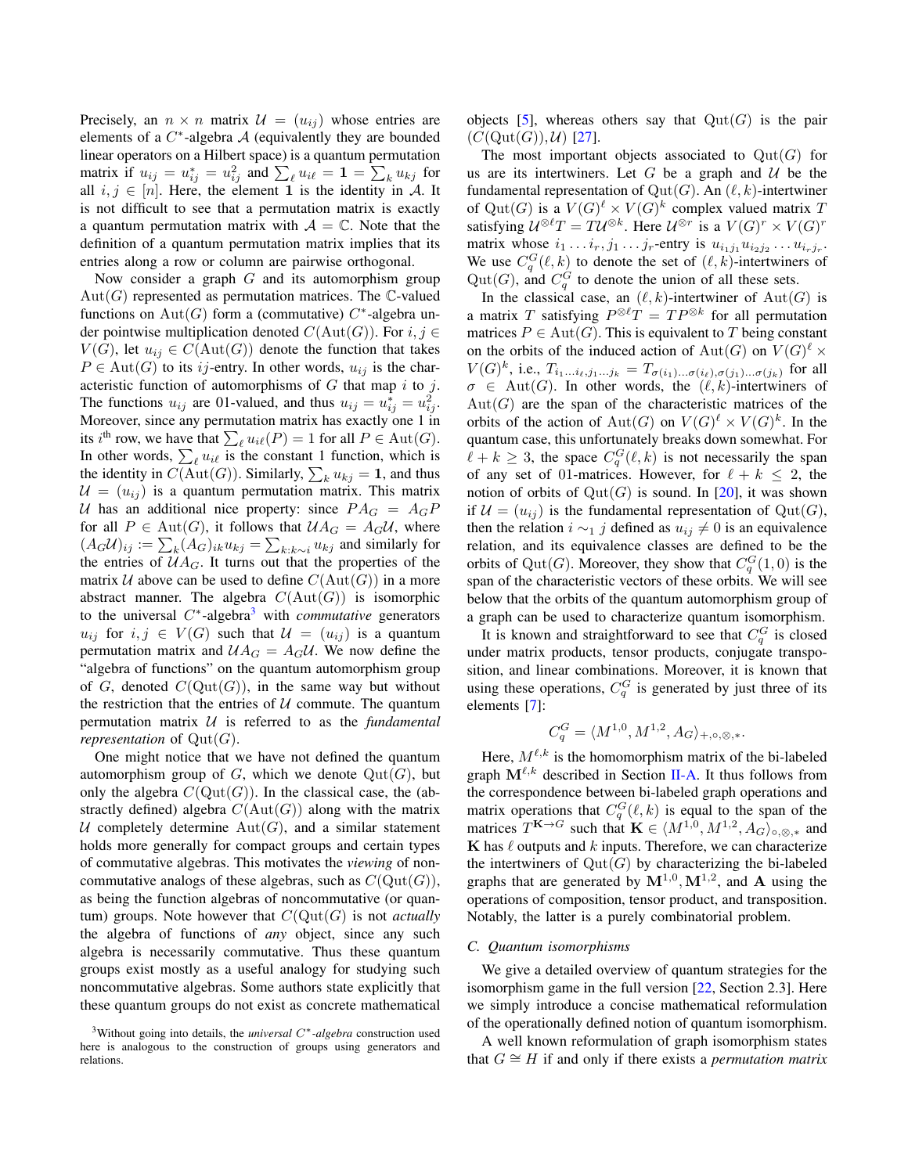Precisely, an  $n \times n$  matrix  $\mathcal{U} = (u_{ij})$  whose entries are elements of a  $C^*$ -algebra  $\mathcal A$  (equivalently they are bounded linear operators on a Hilbert space) is a quantum permutation matrix if  $u_{ij} = u_{ij}^* = u_{ij}^2$  and  $\sum_{\ell} u_{i\ell} = \mathbf{1} = \sum_{k} u_{kj}$  for all  $i, j \in [n]$ . Here, the element 1 is the identity in A. It is not difficult to see that a permutation matrix is exactly a quantum permutation matrix with  $A = \mathbb{C}$ . Note that the definition of a quantum permutation matrix implies that its entries along a row or column are pairwise orthogonal.

Now consider a graph  $G$  and its automorphism group  $Aut(G)$  represented as permutation matrices. The C-valued functions on  $\text{Aut}(G)$  form a (commutative)  $C^*$ -algebra under pointwise multiplication denoted  $C(Aut(G))$ . For  $i, j \in$  $V(G)$ , let  $u_{ij} \in C(Aut(G))$  denote the function that takes  $P \in \text{Aut}(G)$  to its *ij*-entry. In other words,  $u_{ij}$  is the characteristic function of automorphisms of  $G$  that map  $i$  to  $j$ . The functions  $u_{ij}$  are 01-valued, and thus  $u_{ij} = u_{ij}^* = u_{ij}^2$ . Moreover, since any permutation matrix has exactly one 1 in its *i*<sup>th</sup> row, we have that  $\sum_{\ell} u_{i\ell}(P) = 1$  for all  $P \in \text{Aut}(G)$ . In other words,  $\sum_{\ell} u_{i\ell}$  is the constant 1 function, which is the identity in  $C(\text{Aut}(G))$ . Similarly,  $\sum_k u_{kj} = 1$ , and thus  $U = (u_{ij})$  is a quantum permutation matrix. This matrix U has an additional nice property: since  $PA_G = A_G P$ for all  $P \in Aut(G)$ , it follows that  $\mathcal{U} A_G = A_G \mathcal{U}$ , where  $(A_G\mathcal{U})_{ij} := \sum_k (A_G)_{ik} u_{kj} = \sum_{k:k\sim i} u_{kj}$  and similarly for the entries of  $U A_G$ . It turns out that the properties of the matrix U above can be used to define  $C(Aut(G))$  in a more abstract manner. The algebra  $C(Aut(G))$  is isomorphic to the universal  $C^*$ -algebra<sup>[3](#page-6-0)</sup> with *commutative* generators  $u_{ij}$  for  $i, j \in V(G)$  such that  $\mathcal{U} = (u_{ij})$  is a quantum permutation matrix and  $U A_G = A_G U$ . We now define the "algebra of functions" on the quantum automorphism group of G, denoted  $C(\mathrm{Qut}(G))$ , in the same way but without the restriction that the entries of  $U$  commute. The quantum permutation matrix U is referred to as the *fundamental representation* of  $Qut(G)$ .

One might notice that we have not defined the quantum automorphism group of  $G$ , which we denote  $\mathrm{Qut}(G)$ , but only the algebra  $C(\mathrm{Qut}(G))$ . In the classical case, the (abstractly defined) algebra  $C(Aut(G))$  along with the matrix U completely determine  $Aut(G)$ , and a similar statement holds more generally for compact groups and certain types of commutative algebras. This motivates the *viewing* of noncommutative analogs of these algebras, such as  $C(\mathrm{Qut}(G)),$ as being the function algebras of noncommutative (or quantum) groups. Note however that  $C(\mathrm{Out}(G))$  is not *actually* the algebra of functions of *any* object, since any such algebra is necessarily commutative. Thus these quantum groups exist mostly as a useful analogy for studying such noncommutative algebras. Some authors state explicitly that these quantum groups do not exist as concrete mathematical objects [\[5\]](#page-11-15), whereas others say that  $Qut(G)$  is the pair  $(C(\mathrm{Qut}(G)),\mathcal{U})$  [\[27\]](#page-12-10).

The most important objects associated to  $Qut(G)$  for us are its intertwiners. Let G be a graph and  $U$  be the fundamental representation of  $\mathrm{Qut}(G)$ . An  $(\ell, k)$ -intertwiner of Qut(G) is a  $V(G)^{\ell} \times V(G)^{k}$  complex valued matrix T satisfying  $\mathcal{U}^{\otimes \ell}T = T\mathcal{U}^{\otimes k}$ . Here  $\mathcal{U}^{\otimes r}$  is a  $V(G)^r \times V(G)^r$ matrix whose  $i_1 \dots i_r, j_1 \dots j_r$ -entry is  $u_{i_1 j_1} u_{i_2 j_2} \dots u_{i_r j_r}$ . We use  $C_q^G(\ell, k)$  to denote the set of  $(\ell, k)$ -intertwiners of  $Qut(G)$ , and  $C_q^G$  to denote the union of all these sets.

In the classical case, an  $(\ell, k)$ -intertwiner of  $Aut(G)$  is a matrix T satisfying  $P^{\otimes \ell}T = TP^{\otimes k}$  for all permutation matrices  $P \in Aut(G)$ . This is equivalent to T being constant on the orbits of the induced action of  ${\rm Aut}(G)$  on  $V(G)^{\ell} \times$  $V(G)^k$ , i.e.,  $T_{i_1...i_{\ell},j_1...j_k} = T_{\sigma(i_1)... \sigma(i_{\ell}),\sigma(j_1)... \sigma(j_k)}$  for all  $\sigma \in \text{Aut}(G)$ . In other words, the  $(\ell, k)$ -intertwiners of  $Aut(G)$  are the span of the characteristic matrices of the orbits of the action of  $\mathrm{Aut}(G)$  on  $V(G)^{\ell} \times V(G)^k$ . In the quantum case, this unfortunately breaks down somewhat. For  $\ell + k \geq 3$ , the space  $C_q^G(\ell, k)$  is not necessarily the span of any set of 01-matrices. However, for  $\ell + k \leq 2$ , the notion of orbits of  $Qut(G)$  is sound. In [\[20\]](#page-12-11), it was shown if  $\mathcal{U} = (u_{ij})$  is the fundamental representation of  $\mathrm{Qut}(G)$ , then the relation  $i \sim_1 j$  defined as  $u_{ij} \neq 0$  is an equivalence relation, and its equivalence classes are defined to be the orbits of Qut(G). Moreover, they show that  $C_q^G(1,0)$  is the span of the characteristic vectors of these orbits. We will see below that the orbits of the quantum automorphism group of a graph can be used to characterize quantum isomorphism.

It is known and straightforward to see that  $C_q^G$  is closed under matrix products, tensor products, conjugate transposition, and linear combinations. Moreover, it is known that using these operations,  $C_q^G$  is generated by just three of its elements [\[7\]](#page-11-16):

$$
C_q^G = \langle M^{1,0}, M^{1,2}, A_G \rangle_{+,\circ,\otimes,*}.
$$

Here,  $M^{\ell,k}$  is the homomorphism matrix of the bi-labeled graph  $M^{\ell,k}$  described in Section [II-A.](#page-3-1) It thus follows from the correspondence between bi-labeled graph operations and matrix operations that  $C_q^G(\ell, k)$  is equal to the span of the matrices  $T^{K\to G}$  such that  $K \in \langle M^{1,0}, M^{1,2}, A_G \rangle_{\circ, \otimes, *}$  and  $\bf{K}$  has  $\ell$  outputs and  $k$  inputs. Therefore, we can characterize the intertwiners of  $Qut(G)$  by characterizing the bi-labeled graphs that are generated by  $M^{1,0}, M^{1,2}$ , and A using the operations of composition, tensor product, and transposition. Notably, the latter is a purely combinatorial problem.

## *C. Quantum isomorphisms*

We give a detailed overview of quantum strategies for the isomorphism game in the full version [\[22,](#page-12-9) Section 2.3]. Here we simply introduce a concise mathematical reformulation of the operationally defined notion of quantum isomorphism.

A well known reformulation of graph isomorphism states that  $G \cong H$  if and only if there exists a *permutation matrix* 

<span id="page-6-0"></span><sup>3</sup>Without going into details, the *universal* C∗*-algebra* construction used here is analogous to the construction of groups using generators and relations.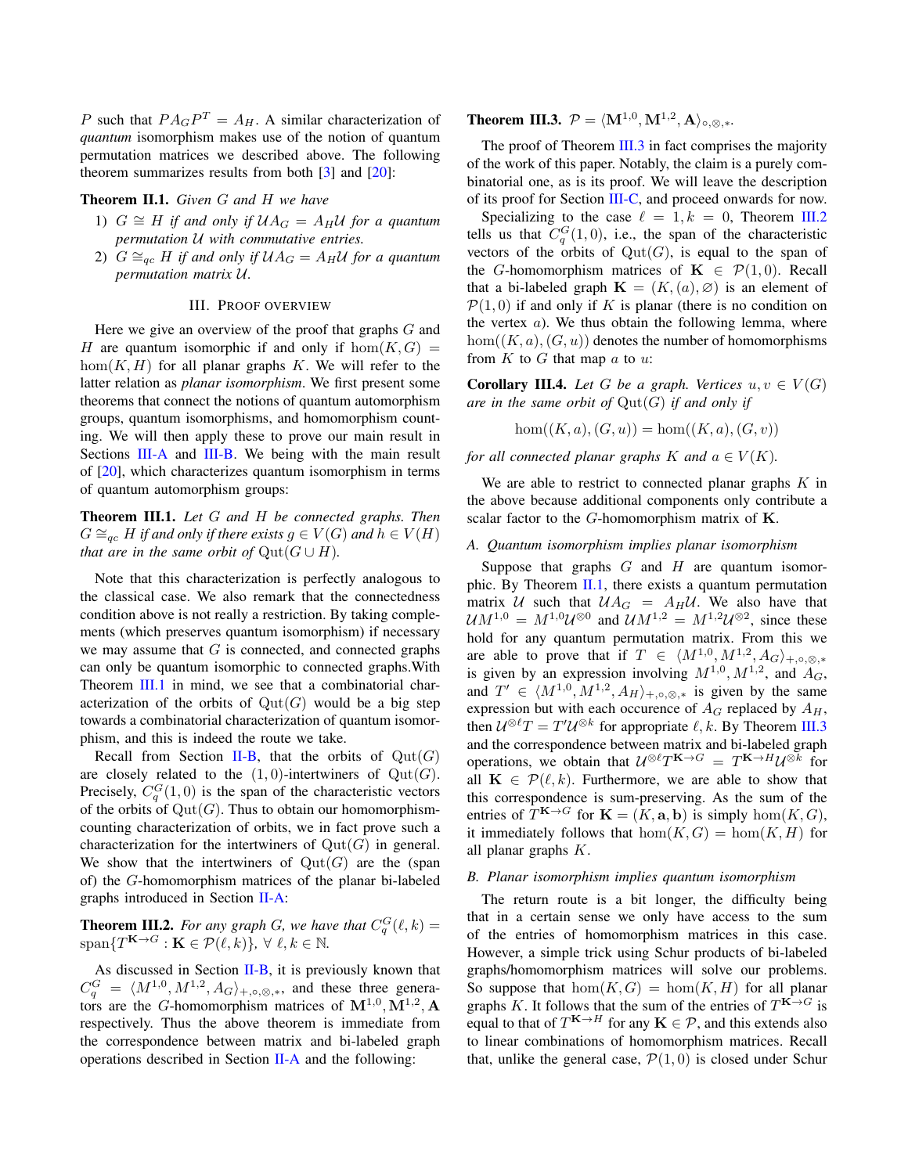P such that  $PA_GP^T = A_H$ . A similar characterization of *quantum* isomorphism makes use of the notion of quantum permutation matrices we described above. The following theorem summarizes results from both [\[3\]](#page-11-12) and [\[20\]](#page-12-11):

#### <span id="page-7-6"></span>Theorem II.1. *Given* G *and* H *we have*

- 1)  $G \cong H$  *if and only if*  $U A_G = A_H U$  *for a quantum permutation* U *with commutative entries.*
- 2)  $G \cong_{qc} H$  *if and only if*  $U A_G = A_H U$  *for a quantum permutation matrix* U*.*

#### III. PROOF OVERVIEW

<span id="page-7-0"></span>Here we give an overview of the proof that graphs  $G$  and H are quantum isomorphic if and only if  $hom(K, G)$  $hom(K, H)$  for all planar graphs K. We will refer to the latter relation as *planar isomorphism*. We first present some theorems that connect the notions of quantum automorphism groups, quantum isomorphisms, and homomorphism counting. We will then apply these to prove our main result in Sections [III-A](#page-7-1) and [III-B.](#page-7-2) We being with the main result of [\[20\]](#page-12-11), which characterizes quantum isomorphism in terms of quantum automorphism groups:

<span id="page-7-3"></span>Theorem III.1. *Let* G *and* H *be connected graphs. Then*  $G \cong_{qc} H$  *if and only if there exists*  $g \in V(G)$  *and*  $h \in V(H)$ *that are in the same orbit of*  $\mathrm{Qut}(G \cup H)$ *.* 

Note that this characterization is perfectly analogous to the classical case. We also remark that the connectedness condition above is not really a restriction. By taking complements (which preserves quantum isomorphism) if necessary we may assume that  $G$  is connected, and connected graphs can only be quantum isomorphic to connected graphs.With Theorem [III.1](#page-7-3) in mind, we see that a combinatorial characterization of the orbits of  $\mathrm{Qut}(G)$  would be a big step towards a combinatorial characterization of quantum isomorphism, and this is indeed the route we take.

Recall from Section [II-B,](#page-5-1) that the orbits of  $Qut(G)$ are closely related to the  $(1, 0)$ -intertwiners of  $Qut(G)$ . Precisely,  $C_q^G(1,0)$  is the span of the characteristic vectors of the orbits of  $\mathrm{Qut}(G)$ . Thus to obtain our homomorphismcounting characterization of orbits, we in fact prove such a characterization for the intertwiners of  $Qut(G)$  in general. We show that the intertwiners of  $Qut(G)$  are the (span of) the G-homomorphism matrices of the planar bi-labeled graphs introduced in Section [II-A:](#page-3-1)

<span id="page-7-5"></span>**Theorem III.2.** For any graph G, we have that  $C_q^G(\ell, k) =$  $span\{T^{\mathbf{K}\to G}:\mathbf{K}\in \mathcal{P}(\ell, k)\}, \ \forall \ \ell, k\in \mathbb{N}.$ 

As discussed in Section  $II-B$ , it is previously known that  $C_q^G = \langle M^{1,0}, M^{1,2}, A_G \rangle_{+,\circ,\otimes,*}$ , and these three generators are the G-homomorphism matrices of  $M^{1,0}, M^{1,2}, A$ respectively. Thus the above theorem is immediate from the correspondence between matrix and bi-labeled graph operations described in Section [II-A](#page-3-1) and the following:

<span id="page-7-4"></span>**Theorem III.3.**  $\mathcal{P} = \langle \mathbf{M}^{1,0}, \mathbf{M}^{1,2}, \mathbf{A} \rangle_{\circ, \otimes, *}.$ 

The proof of Theorem [III.3](#page-7-4) in fact comprises the majority of the work of this paper. Notably, the claim is a purely combinatorial one, as is its proof. We will leave the description of its proof for Section [III-C,](#page-8-0) and proceed onwards for now.

Specializing to the case  $\ell = 1, k = 0$ , Theorem [III.2](#page-7-5) tells us that  $C_q^G(1,0)$ , i.e., the span of the characteristic vectors of the orbits of  $Qut(G)$ , is equal to the span of the G-homomorphism matrices of  $\mathbf{K} \in \mathcal{P}(1,0)$ . Recall that a bi-labeled graph  $\mathbf{K} = (K, (a), \emptyset)$  is an element of  $\mathcal{P}(1, 0)$  if and only if K is planar (there is no condition on the vertex  $a$ ). We thus obtain the following lemma, where  $hom((K, a), (G, u))$  denotes the number of homomorphisms from  $K$  to  $G$  that map  $a$  to  $u$ :

<span id="page-7-7"></span>**Corollary III.4.** Let G be a graph. Vertices  $u, v \in V(G)$ *are in the same orbit of* Qut(G) *if and only if*

$$
hom((K, a), (G, u)) = hom((K, a), (G, v))
$$

*for all connected planar graphs* K *and*  $a \in V(K)$ *.* 

We are able to restrict to connected planar graphs  $K$  in the above because additional components only contribute a scalar factor to the G-homomorphism matrix of K.

## <span id="page-7-1"></span>*A. Quantum isomorphism implies planar isomorphism*

Suppose that graphs  $G$  and  $H$  are quantum isomorphic. By Theorem [II.1,](#page-7-6) there exists a quantum permutation matrix U such that  $U A_G = A_H U$ . We also have that  $\mathcal{U}M^{1,0} = M^{1,0}\mathcal{U}^{\otimes 0}$  and  $\mathcal{U}M^{1,2} = M^{1,2}\mathcal{U}^{\otimes 2}$ , since these hold for any quantum permutation matrix. From this we are able to prove that if  $T \in \langle M^{1,0}, M^{1,2}, A_G \rangle_{+, \circ, \otimes,*}$ is given by an expression involving  $M^{1,0}, M^{1,2}$ , and  $A_G$ , and  $T' \in \langle M^{1,0}, M^{1,2}, A_H \rangle_{+,\circ,\otimes,*}$  is given by the same expression but with each occurence of  $A_G$  replaced by  $A_H$ , then  $\mathcal{U}^{\otimes \ell}T = T'\mathcal{U}^{\otimes k}$  for appropriate  $\ell, k$ . By Theorem [III.3](#page-7-4) and the correspondence between matrix and bi-labeled graph operations, we obtain that  $\mathcal{U}^{\otimes \ell}T^{\mathbf{K}\to G} = T^{\mathbf{K}\to H}\mathcal{U}^{\otimes k}$  for all  $\mathbf{K} \in \mathcal{P}(\ell, k)$ . Furthermore, we are able to show that this correspondence is sum-preserving. As the sum of the entries of  $T^{K\to G}$  for  $K = (K, \mathbf{a}, \mathbf{b})$  is simply  $hom(K, G)$ , it immediately follows that  $hom(K, G) = hom(K, H)$  for all planar graphs K.

#### <span id="page-7-2"></span>*B. Planar isomorphism implies quantum isomorphism*

The return route is a bit longer, the difficulty being that in a certain sense we only have access to the sum of the entries of homomorphism matrices in this case. However, a simple trick using Schur products of bi-labeled graphs/homomorphism matrices will solve our problems. So suppose that  $hom(K, G) = hom(K, H)$  for all planar graphs K. It follows that the sum of the entries of  $T^{K\to G}$  is equal to that of  $T^{K\to H}$  for any  $K \in \mathcal{P}$ , and this extends also to linear combinations of homomorphism matrices. Recall that, unlike the general case,  $\mathcal{P}(1, 0)$  is closed under Schur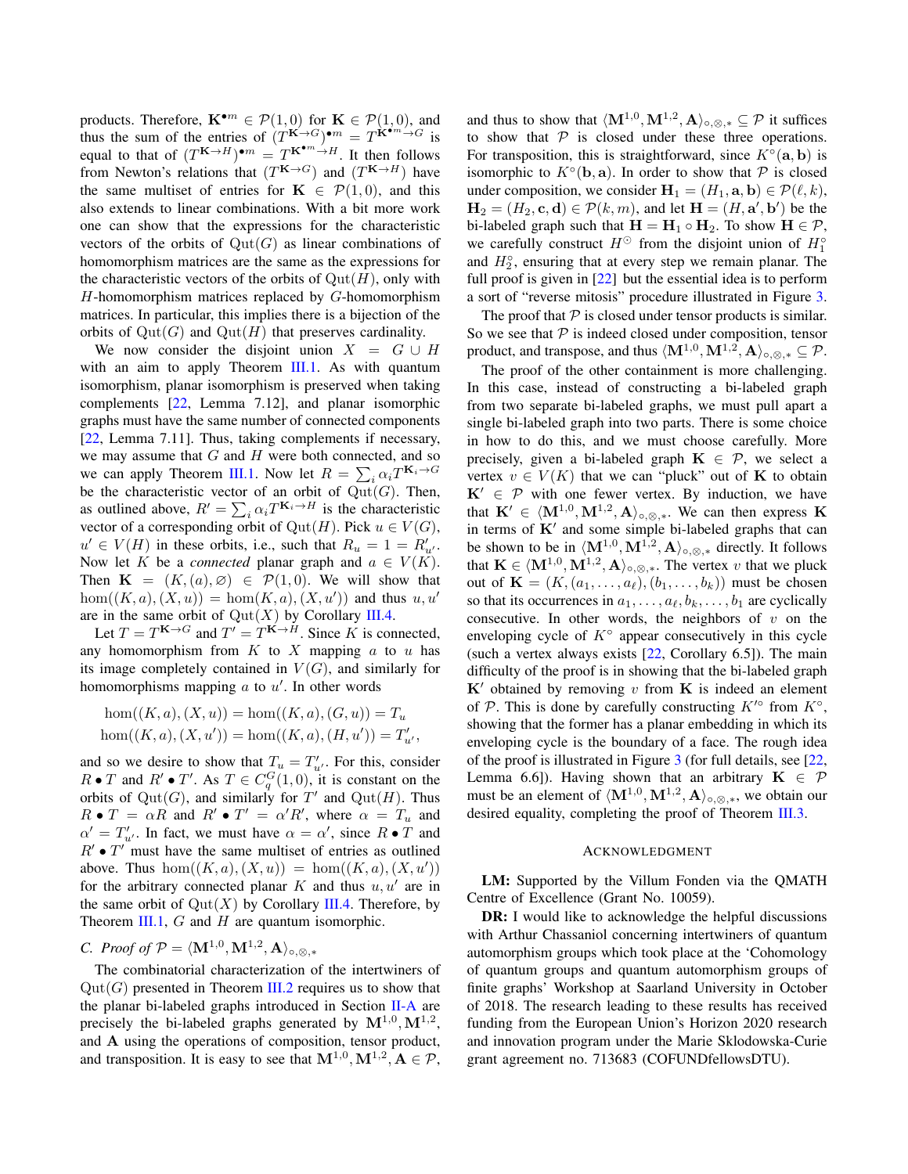products. Therefore,  $\mathbf{K}^{\bullet m} \in \mathcal{P}(1,0)$  for  $\mathbf{K} \in \mathcal{P}(1,0)$ , and thus the sum of the entries of  $(T^{K\to G})^{\bullet m} = T^{K^{\bullet m}\to G}$  is equal to that of  $(T^{K \to H})^{\bullet m} = T^{K^{\bullet m} \to H}$ . It then follows from Newton's relations that  $(T^{K\to G})$  and  $(T^{K\to H})$  have the same multiset of entries for  $\mathbf{K} \in \mathcal{P}(1,0)$ , and this also extends to linear combinations. With a bit more work one can show that the expressions for the characteristic vectors of the orbits of  $\mathrm{Qut}(G)$  as linear combinations of homomorphism matrices are the same as the expressions for the characteristic vectors of the orbits of  $\mathrm{Qut}(H)$ , only with H-homomorphism matrices replaced by G-homomorphism matrices. In particular, this implies there is a bijection of the orbits of  $\mathrm{Qut}(G)$  and  $\mathrm{Qut}(H)$  that preserves cardinality.

We now consider the disjoint union  $X = G \cup H$ with an aim to apply Theorem [III.1.](#page-7-3) As with quantum isomorphism, planar isomorphism is preserved when taking complements [\[22,](#page-12-9) Lemma 7.12], and planar isomorphic graphs must have the same number of connected components [\[22,](#page-12-9) Lemma 7.11]. Thus, taking complements if necessary, we may assume that  $G$  and  $H$  were both connected, and so we can apply Theorem [III.1.](#page-7-3) Now let  $R = \sum_i \alpha_i T^{K_i \rightarrow G}$ be the characteristic vector of an orbit of  $Qut(G)$ . Then, as outlined above,  $R' = \sum_i \alpha_i T^{K_i \to H}$  is the characteristic vector of a corresponding orbit of  $Qut(H)$ . Pick  $u \in V(G)$ ,  $u' \in V(H)$  in these orbits, i.e., such that  $R_u = 1 = R'_u$ . Now let K be a *connected* planar graph and  $a \in V(K)$ . Then  $\mathbf{K} = (K,(a),\emptyset) \in \mathcal{P}(1,0)$ . We will show that  $hom((K, a), (X, u)) = hom(K, a), (X, u'))$  and thus  $u, u'$ are in the same orbit of  $\mathrm{Qut}(X)$  by Corollary [III.4.](#page-7-7)

Let  $T = T^{K \to G}$  and  $T' = T^{K \to H}$ . Since K is connected, any homomorphism from  $K$  to  $X$  mapping  $a$  to  $u$  has its image completely contained in  $V(G)$ , and similarly for homomorphisms mapping  $a$  to  $u'$ . In other words

$$
hom((K, a), (X, u)) = hom((K, a), (G, u)) = T_u
$$
  
hom
$$
((K, a), (X, u')) = hom((K, a), (H, u')) = T'_{u'}
$$

and so we desire to show that  $T_u = T'_{u'}$ . For this, consider  $R \bullet T$  and  $R' \bullet T'$ . As  $T \in C_q^G(1,0)$ , it is constant on the orbits of  $\mathrm{Qut}(G)$ , and similarly for T' and  $\mathrm{Qut}(H)$ . Thus  $R \bullet T = \alpha R$  and  $R' \bullet T' = \alpha' R'$ , where  $\alpha = T_u$  and  $\alpha' = T'_{\alpha'}$ . In fact, we must have  $\alpha = \alpha'$ , since  $R \bullet T$  and  $R' \bullet T'$  must have the same multiset of entries as outlined above. Thus  $hom((K, a), (X, u)) = hom((K, a), (X, u'))$ for the arbitrary connected planar K and thus  $u, u'$  are in the same orbit of  $\mathrm{Qut}(X)$  by Corollary [III.4.](#page-7-7) Therefore, by Theorem [III.1,](#page-7-3)  $G$  and  $H$  are quantum isomorphic.

<span id="page-8-0"></span>*C. Proof of*  $\mathcal{P} = \langle \mathbf{M}^{1,0}, \mathbf{M}^{1,2}, \mathbf{A} \rangle_{\circ, \otimes, *}$ 

The combinatorial characterization of the intertwiners of  $Qut(G)$  presented in Theorem [III.2](#page-7-5) requires us to show that the planar bi-labeled graphs introduced in Section [II-A](#page-3-1) are precisely the bi-labeled graphs generated by  $M^{1,0}, M^{1,2}$ , and A using the operations of composition, tensor product, and transposition. It is easy to see that  $M^{1,0}, M^{1,2}, A \in \mathcal{P}$ ,

and thus to show that  $\langle \mathbf{M}^{1,0}, \mathbf{M}^{1,2}, \mathbf{A} \rangle_{\circ, \otimes, *} \subseteq \mathcal{P}$  it suffices to show that  $P$  is closed under these three operations. For transposition, this is straightforward, since  $K^{\circ}(\mathbf{a}, \mathbf{b})$  is isomorphic to  $K^{\circ}(\mathbf{b}, \mathbf{a})$ . In order to show that  $P$  is closed under composition, we consider  $\mathbf{H}_1 = (H_1, \mathbf{a}, \mathbf{b}) \in \mathcal{P}(\ell, k),$  $\mathbf{H}_2 = (H_2, \mathbf{c}, \mathbf{d}) \in \mathcal{P}(k, m)$ , and let  $\mathbf{H} = (H, \mathbf{a}', \mathbf{b}')$  be the bi-labeled graph such that  $H = H_1 \circ H_2$ . To show  $H \in \mathcal{P}$ , we carefully construct  $H^{\odot}$  from the disjoint union of  $H_1^{\circ}$ and  $H_2^{\circ}$ , ensuring that at every step we remain planar. The full proof is given in [\[22\]](#page-12-9) but the essential idea is to perform a sort of "reverse mitosis" procedure illustrated in Figure [3.](#page-5-0)

The proof that  $P$  is closed under tensor products is similar. So we see that  $P$  is indeed closed under composition, tensor product, and transpose, and thus  $\langle \mathbf{M}^{1,0}, \mathbf{M}^{1,2}, \mathbf{A} \rangle_{\circ, \otimes, *} \subseteq \mathcal{P}$ .

The proof of the other containment is more challenging. In this case, instead of constructing a bi-labeled graph from two separate bi-labeled graphs, we must pull apart a single bi-labeled graph into two parts. There is some choice in how to do this, and we must choose carefully. More precisely, given a bi-labeled graph  $K \in \mathcal{P}$ , we select a vertex  $v \in V(K)$  that we can "pluck" out of K to obtain  $K' \in \mathcal{P}$  with one fewer vertex. By induction, we have that  $\mathbf{K}' \in \langle \mathbf{M}^{1,0}, \mathbf{M}^{1,2}, \mathbf{A} \rangle_{\circ, \otimes, *}$ . We can then express K in terms of  $K'$  and some simple bi-labeled graphs that can be shown to be in  $\langle M^{1,0}, M^{1,2}, A \rangle_{\circ, \otimes,*}$  directly. It follows that  $\mathbf{K} \in \langle \mathbf{M}^{1,0}, \mathbf{M}^{1,2}, \mathbf{A} \rangle_{\circ, \otimes, \ast}$ . The vertex v that we pluck out of  $\mathbf{K} = (K, (a_1, \ldots, a_\ell), (b_1, \ldots, b_k))$  must be chosen so that its occurrences in  $a_1, \ldots, a_\ell, b_k, \ldots, b_1$  are cyclically consecutive. In other words, the neighbors of  $v$  on the enveloping cycle of  $K^{\circ}$  appear consecutively in this cycle (such a vertex always exists [\[22,](#page-12-9) Corollary 6.5]). The main difficulty of the proof is in showing that the bi-labeled graph  $K'$  obtained by removing v from K is indeed an element of P. This is done by carefully constructing  $K^{\prime\circ}$  from  $K^{\circ}$ , showing that the former has a planar embedding in which its enveloping cycle is the boundary of a face. The rough idea of the proof is illustrated in Figure [3](#page-5-0) (for full details, see [\[22,](#page-12-9) Lemma 6.6]). Having shown that an arbitrary  $K \in \mathcal{P}$ must be an element of  $\langle \mathbf{M}^{1,0}, \mathbf{M}^{1,2}, \mathbf{A} \rangle_{\circ, \otimes, *}$ , we obtain our desired equality, completing the proof of Theorem [III.3.](#page-7-4)

#### ACKNOWLEDGMENT

LM: Supported by the Villum Fonden via the QMATH Centre of Excellence (Grant No. 10059).

DR: I would like to acknowledge the helpful discussions with Arthur Chassaniol concerning intertwiners of quantum automorphism groups which took place at the 'Cohomology of quantum groups and quantum automorphism groups of finite graphs' Workshop at Saarland University in October of 2018. The research leading to these results has received funding from the European Union's Horizon 2020 research and innovation program under the Marie Sklodowska-Curie grant agreement no. 713683 (COFUNDfellowsDTU).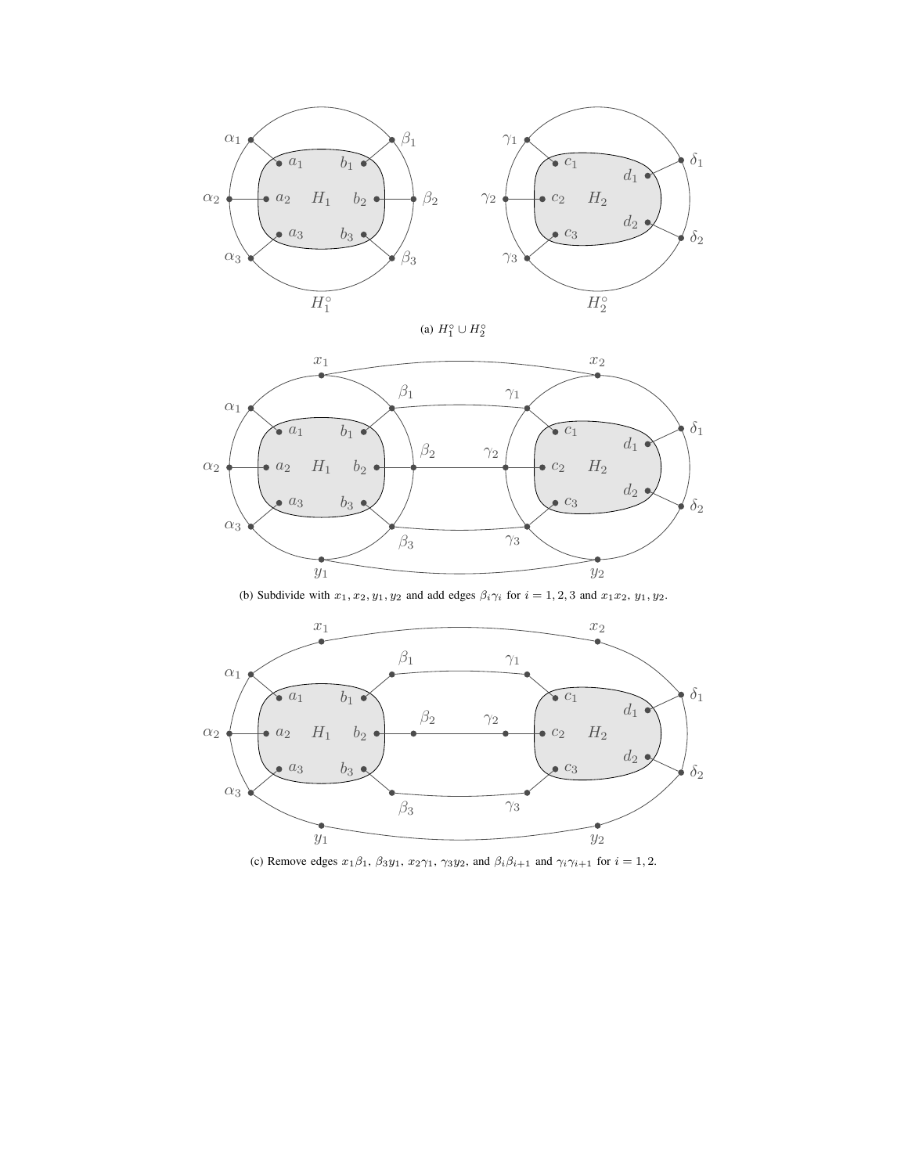

(a)  $H_1^{\circ} \cup H_2^{\circ}$ 



(b) Subdivide with  $x_1, x_2, y_1, y_2$  and add edges  $\beta_i \gamma_i$  for  $i = 1, 2, 3$  and  $x_1 x_2, y_1, y_2$ .



(c) Remove edges  $x_1\beta_1$ ,  $\beta_3y_1$ ,  $x_2\gamma_1$ ,  $\gamma_3y_2$ , and  $\beta_i\beta_{i+1}$  and  $\gamma_i\gamma_{i+1}$  for  $i = 1, 2$ .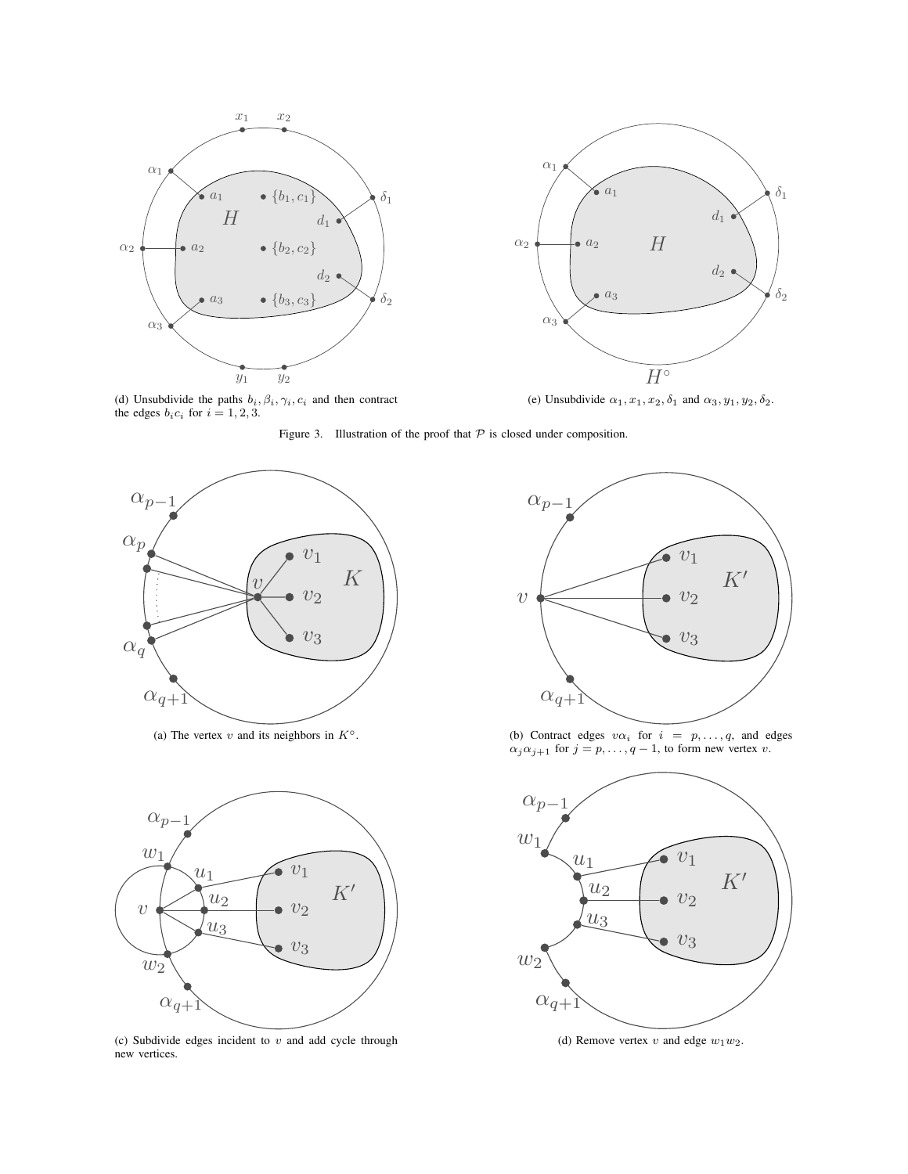



(e) Unsubdivide  $\alpha_1, x_1, x_2, \delta_1$  and  $\alpha_3, y_1, y_2, \delta_2$ .

(d) Unsubdivide the paths  $b_i$ ,  $\beta_i$ ,  $\gamma_i$ ,  $c_i$  and then contract the edges  $b_i c_i$  for  $i = 1, 2, 3$ .

Figure 3. Illustration of the proof that  $P$  is closed under composition.



(a) The vertex v and its neighbors in  $K^\circ$ .



(c) Subdivide edges incident to  $v$  and add cycle through new vertices.



(b) Contract edges  $v\alpha_i$  for  $i = p, \ldots, q$ , and edges  $\alpha_j \alpha_{j+1}$  for  $j = p, \ldots, q-1$ , to form new vertex v.



(d) Remove vertex  $v$  and edge  $w_1w_2$ .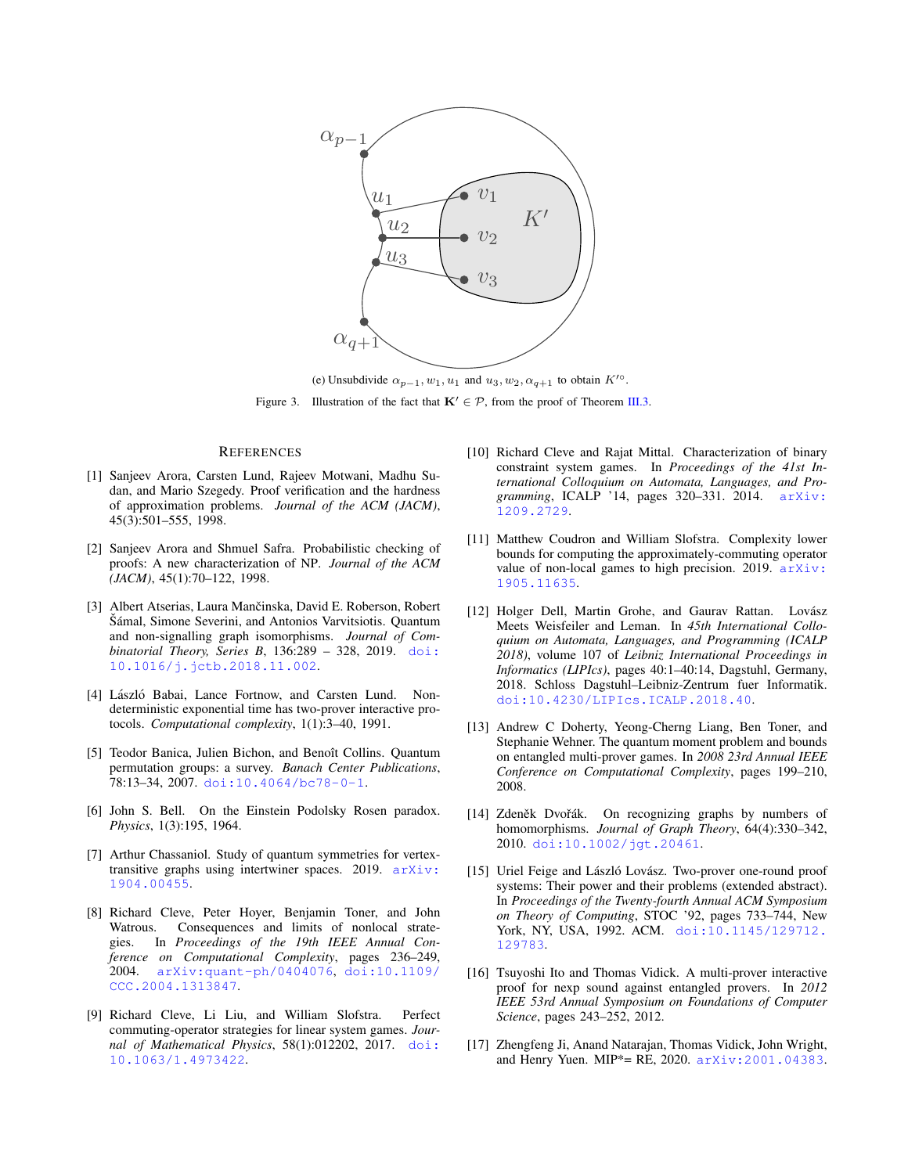

(e) Unsubdivide  $\alpha_{p-1}, w_1, u_1$  and  $u_3, w_2, \alpha_{q+1}$  to obtain  $K^{\prime\circ}$ . Figure 3. Illustration of the fact that  $\mathbf{K}' \in \mathcal{P}$ , from the proof of Theorem [III.3.](#page-7-4)

#### **REFERENCES**

- <span id="page-11-2"></span>[1] Sanjeev Arora, Carsten Lund, Rajeev Motwani, Madhu Sudan, and Mario Szegedy. Proof verification and the hardness of approximation problems. *Journal of the ACM (JACM)*, 45(3):501–555, 1998.
- <span id="page-11-1"></span>[2] Sanjeev Arora and Shmuel Safra. Probabilistic checking of proofs: A new characterization of NP. *Journal of the ACM (JACM)*, 45(1):70–122, 1998.
- <span id="page-11-12"></span>[3] Albert Atserias, Laura Mančinska, David E. Roberson, Robert Šámal, Simone Severini, and Antonios Varvitsiotis. Quantum and non-signalling graph isomorphisms. *Journal of Combinatorial Theory, Series B*, 136:289 – 328, 2019. [doi:](http://dx.doi.org/10.1016/j.jctb.2018.11.002) [10.1016/j.jctb.2018.11.002](http://dx.doi.org/10.1016/j.jctb.2018.11.002).
- <span id="page-11-0"></span>[4] László Babai, Lance Fortnow, and Carsten Lund. Nondeterministic exponential time has two-prover interactive protocols. *Computational complexity*, 1(1):3–40, 1991.
- <span id="page-11-15"></span>[5] Teodor Banica, Julien Bichon, and Benoît Collins. Quantum permutation groups: a survey. *Banach Center Publications*, 78:13–34, 2007. [doi:10.4064/bc78-0-1](http://dx.doi.org/10.4064/bc78-0-1).
- <span id="page-11-5"></span>[6] John S. Bell. On the Einstein Podolsky Rosen paradox. *Physics*, 1(3):195, 1964.
- <span id="page-11-16"></span>[7] Arthur Chassaniol. Study of quantum symmetries for vertextransitive graphs using intertwiner spaces. 2019. [arXiv:](http://arxiv.org/abs/1904.00455) [1904.00455](http://arxiv.org/abs/1904.00455).
- <span id="page-11-4"></span>[8] Richard Cleve, Peter Hoyer, Benjamin Toner, and John Watrous. Consequences and limits of nonlocal strategies. In *Proceedings of the 19th IEEE Annual Conference on Computational Complexity*, pages 236–249, 2004. [arXiv:quant-ph/0404076](http://arxiv.org/abs/quant-ph/0404076), [doi:10.1109/](http://dx.doi.org/10.1109/CCC.2004.1313847) [CCC.2004.1313847](http://dx.doi.org/10.1109/CCC.2004.1313847).
- <span id="page-11-11"></span>[9] Richard Cleve, Li Liu, and William Slofstra. Perfect commuting-operator strategies for linear system games. *Journal of Mathematical Physics*, 58(1):012202, 2017. [doi:](http://dx.doi.org/10.1063/1.4973422) [10.1063/1.4973422](http://dx.doi.org/10.1063/1.4973422).
- <span id="page-11-10"></span>[10] Richard Cleve and Rajat Mittal. Characterization of binary constraint system games. In *Proceedings of the 41st International Colloquium on Automata, Languages, and Programming*, ICALP '14, pages 320–331. 2014. [arXiv:](http://arxiv.org/abs/1209.2729) [1209.2729](http://arxiv.org/abs/1209.2729).
- <span id="page-11-9"></span>[11] Matthew Coudron and William Slofstra. Complexity lower bounds for computing the approximately-commuting operator value of non-local games to high precision. 2019. [arXiv:](http://arxiv.org/abs/1905.11635) [1905.11635](http://arxiv.org/abs/1905.11635).
- <span id="page-11-14"></span>[12] Holger Dell, Martin Grohe, and Gaurav Rattan. Lovász Meets Weisfeiler and Leman. In *45th International Colloquium on Automata, Languages, and Programming (ICALP 2018)*, volume 107 of *Leibniz International Proceedings in Informatics (LIPIcs)*, pages 40:1–40:14, Dagstuhl, Germany, 2018. Schloss Dagstuhl–Leibniz-Zentrum fuer Informatik. [doi:10.4230/LIPIcs.ICALP.2018.40](http://dx.doi.org/10.4230/LIPIcs.ICALP.2018.40).
- <span id="page-11-8"></span>[13] Andrew C Doherty, Yeong-Cherng Liang, Ben Toner, and Stephanie Wehner. The quantum moment problem and bounds on entangled multi-prover games. In *2008 23rd Annual IEEE Conference on Computational Complexity*, pages 199–210, 2008.
- <span id="page-11-13"></span>[14] Zdeněk Dvořák. On recognizing graphs by numbers of homomorphisms. *Journal of Graph Theory*, 64(4):330–342, 2010. [doi:10.1002/jgt.20461](http://dx.doi.org/10.1002/jgt.20461).
- <span id="page-11-3"></span>[15] Uriel Feige and László Lovász. Two-prover one-round proof systems: Their power and their problems (extended abstract). In *Proceedings of the Twenty-fourth Annual ACM Symposium on Theory of Computing*, STOC '92, pages 733–744, New York, NY, USA, 1992. ACM. [doi:10.1145/129712.](http://dx.doi.org/10.1145/129712.129783) [129783](http://dx.doi.org/10.1145/129712.129783).
- <span id="page-11-6"></span>[16] Tsuyoshi Ito and Thomas Vidick. A multi-prover interactive proof for nexp sound against entangled provers. In *2012 IEEE 53rd Annual Symposium on Foundations of Computer Science*, pages 243–252, 2012.
- <span id="page-11-7"></span>[17] Zhengfeng Ji, Anand Natarajan, Thomas Vidick, John Wright, and Henry Yuen. MIP\*= RE, 2020. [arXiv:2001.04383](http://arxiv.org/abs/2001.04383).